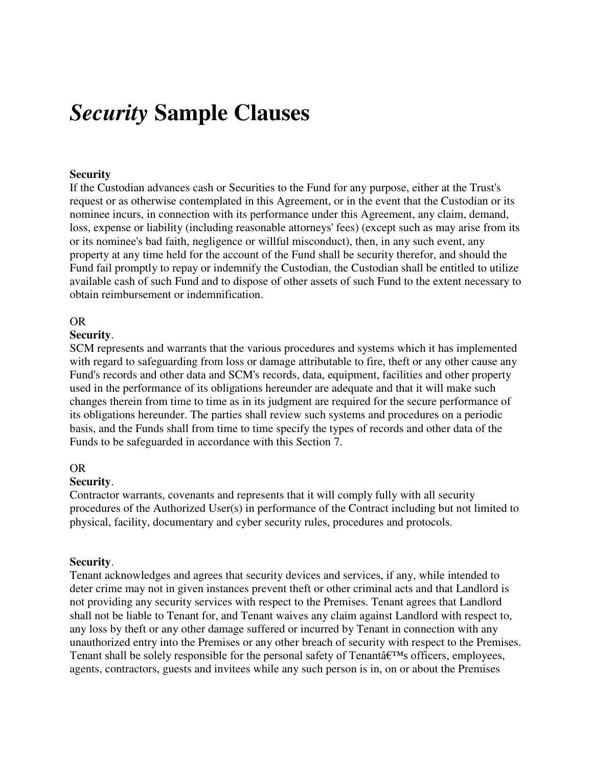# *Security* **Sample Clauses**

# **Security**

If the Custodian advances cash or Securities to the Fund for any purpose, either at the Trust's request or as otherwise contemplated in this Agreement, or in the event that the Custodian or its nominee incurs, in connection with its performance under this Agreement, any claim, demand, loss, expense or liability (including reasonable attorneys' fees) (except such as may arise from its or its nominee's bad faith, negligence or willful misconduct), then, in any such event, any property at any time held for the account of the Fund shall be security therefor, and should the Fund fail promptly to repay or indemnify the Custodian, the Custodian shall be entitled to utilize available cash of such Fund and to dispose of other assets of such Fund to the extent necessary to obtain reimbursement or indemnification.

## OR

### **Security**.

SCM represents and warrants that the various procedures and systems which it has implemented with regard to safeguarding from loss or damage attributable to fire, theft or any other cause any Fund's records and other data and SCM's records, data, equipment, facilities and other property used in the performance of its obligations hereunder are adequate and that it will make such changes therein from time to time as in its judgment are required for the secure performance of its obligations hereunder. The parties shall review such systems and procedures on a periodic basis, and the Funds shall from time to time specify the types of records and other data of the Funds to be safeguarded in accordance with this Section 7.

#### OR

#### **Security**.

Contractor warrants, covenants and represents that it will comply fully with all security procedures of the Authorized User(s) in performance of the Contract including but not limited to physical, facility, documentary and cyber security rules, procedures and protocols.

## **Security**.

Tenant acknowledges and agrees that security devices and services, if any, while intended to deter crime may not in given instances prevent theft or other criminal acts and that Landlord is not providing any security services with respect to the Premises. Tenant agrees that Landlord shall not be liable to Tenant for, and Tenant waives any claim against Landlord with respect to, any loss by theft or any other damage suffered or incurred by Tenant in connection with any unauthorized entry into the Premises or any other breach of security with respect to the Premises. Tenant shall be solely responsible for the personal safety of Tenanta<sup> $ETM$ </sup>s officers, employees, agents, contractors, guests and invitees while any such person is in, on or about the Premises